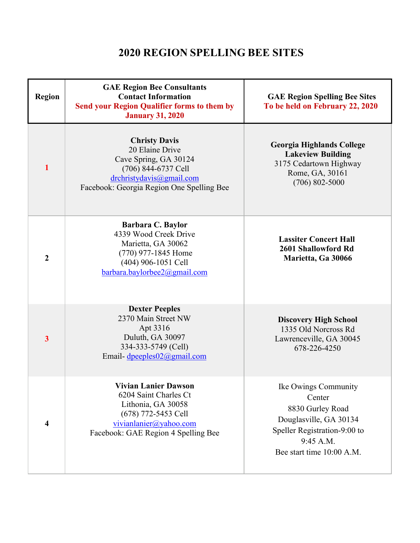## **2020 REGION SPELLING BEE SITES**

| <b>Region</b>           | <b>GAE Region Bee Consultants</b><br><b>Contact Information</b><br><b>Send your Region Qualifier forms to them by</b><br><b>January 31, 2020</b>                 | <b>GAE Region Spelling Bee Sites</b><br>To be held on February 22, 2020                                                                                |
|-------------------------|------------------------------------------------------------------------------------------------------------------------------------------------------------------|--------------------------------------------------------------------------------------------------------------------------------------------------------|
| 1                       | <b>Christy Davis</b><br>20 Elaine Drive<br>Cave Spring, GA 30124<br>(706) 844-6737 Cell<br>drchristydavis@gmail.com<br>Facebook: Georgia Region One Spelling Bee | <b>Georgia Highlands College</b><br><b>Lakeview Building</b><br>3175 Cedartown Highway<br>Rome, GA, 30161<br>$(706) 802 - 5000$                        |
| $\boldsymbol{2}$        | <b>Barbara C. Baylor</b><br>4339 Wood Creek Drive<br>Marietta, GA 30062<br>(770) 977-1845 Home<br>(404) 906-1051 Cell<br>barbara.baylorbee2@gmail.com            | <b>Lassiter Concert Hall</b><br>2601 Shallowford Rd<br>Marietta, Ga 30066                                                                              |
| $\overline{\mathbf{3}}$ | <b>Dexter Peeples</b><br>2370 Main Street NW<br>Apt 3316<br>Duluth, GA 30097<br>334-333-5749 (Cell)<br>Email-dpeeples02@gmail.com                                | <b>Discovery High School</b><br>1335 Old Norcross Rd<br>Lawrenceville, GA 30045<br>678-226-4250                                                        |
| 4                       | Vivian Lanier Dawson<br>6204 Saint Charles Ct<br>Lithonia, GA 30058<br>(678) 772-5453 Cell<br>vivianlanier@yahoo.com<br>Facebook: GAE Region 4 Spelling Bee      | Ike Owings Community<br>Center<br>8830 Gurley Road<br>Douglasville, GA 30134<br>Speller Registration-9:00 to<br>9:45 A.M.<br>Bee start time 10:00 A.M. |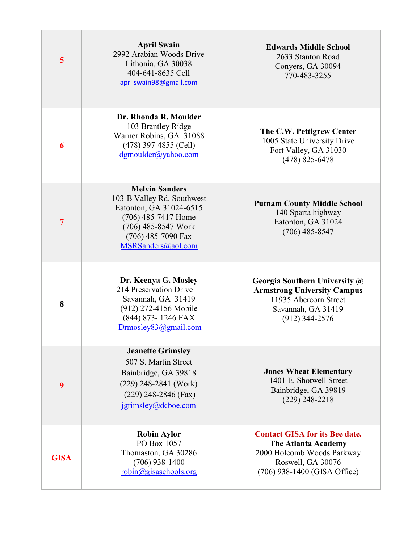| $\overline{\mathbf{5}}$ | <b>April Swain</b><br>2992 Arabian Woods Drive<br>Lithonia, GA 30038<br>404-641-8635 Cell<br>aprilswain98@gmail.com                                                      | <b>Edwards Middle School</b><br>2633 Stanton Road<br>Conyers, GA 30094<br>770-483-3255                                                                 |
|-------------------------|--------------------------------------------------------------------------------------------------------------------------------------------------------------------------|--------------------------------------------------------------------------------------------------------------------------------------------------------|
| 6                       | Dr. Rhonda R. Moulder<br>103 Brantley Ridge<br>Warner Robins, GA 31088<br>$(478)$ 397-4855 (Cell)<br>dgmoulder@yahoo.com                                                 | The C.W. Pettigrew Center<br>1005 State University Drive<br>Fort Valley, GA 31030<br>$(478)$ 825-6478                                                  |
| $\overline{7}$          | <b>Melvin Sanders</b><br>103-B Valley Rd. Southwest<br>Eatonton, GA 31024-6515<br>(706) 485-7417 Home<br>(706) 485-8547 Work<br>(706) 485-7090 Fax<br>MSRSanders@aol.com | <b>Putnam County Middle School</b><br>140 Sparta highway<br>Eatonton, GA 31024<br>$(706)$ 485-8547                                                     |
| 8                       | Dr. Keenya G. Mosley<br>214 Preservation Drive<br>Savannah, GA 31419<br>(912) 272-4156 Mobile<br>(844) 873-1246 FAX<br>Drmosley83@gmail.com                              | Georgia Southern University @<br><b>Armstrong University Campus</b><br>11935 Abercorn Street<br>Savannah, GA 31419<br>$(912)$ 344-2576                 |
| 9                       | <b>Jeanette Grimsley</b><br>507 S. Martin Street<br>Bainbridge, GA 39818<br>$(229)$ 248-2841 (Work)<br>$(229)$ 248-2846 (Fax)<br>igrimsley@deboe.com                     | <b>Jones Wheat Elementary</b><br>1401 E. Shotwell Street<br>Bainbridge, GA 39819<br>$(229)$ 248-2218                                                   |
| <b>GISA</b>             | <b>Robin Aylor</b><br>PO Box 1057<br>Thomaston, GA 30286<br>$(706)$ 938-1400<br>$robin(\omega)$ gisaschools.org                                                          | <b>Contact GISA for its Bee date.</b><br><b>The Atlanta Academy</b><br>2000 Holcomb Woods Parkway<br>Roswell, GA 30076<br>(706) 938-1400 (GISA Office) |